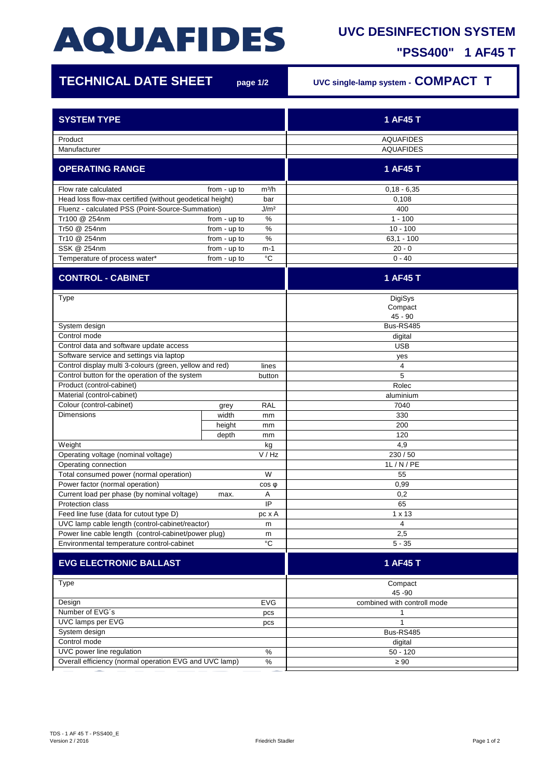## **AQUAFIDES**

## **UVC DESINFECTION SYSTEM**

**"PSS400" 1 AF45 T**

ı

| <b>TECHNICAL DATE SHEET</b>                                          |              | page 1/2          | UVC single-lamp system - COMPACT T |
|----------------------------------------------------------------------|--------------|-------------------|------------------------------------|
| <b>SYSTEM TYPE</b>                                                   |              |                   | 1 AF45 T                           |
|                                                                      |              |                   |                                    |
| Product                                                              |              |                   | <b>AQUAFIDES</b>                   |
| Manufacturer                                                         |              |                   | <b>AQUAFIDES</b>                   |
| <b>OPERATING RANGE</b>                                               |              |                   | 1 AF45 T                           |
| Flow rate calculated                                                 | from - up to | m <sup>3</sup> /h | $0,18 - 6,35$                      |
| Head loss flow-max certified (without geodetical height)<br>bar      |              |                   | 0,108                              |
| J/m <sup>2</sup><br>Fluenz - calculated PSS (Point-Source-Summation) |              |                   | 400                                |
| Tr100 @ 254nm                                                        | from - up to | $\%$              | $1 - 100$                          |
| Tr50 @ 254nm                                                         | from - up to | %                 | $10 - 100$                         |
| Tr10 @ 254nm                                                         | from - up to | $\%$              | $63,1 - 100$                       |
| SSK @ 254nm                                                          | from - up to | m-1               | $20 - 0$                           |
| Temperature of process water*                                        | from - up to | $^{\circ}C$       | $0 - 40$                           |
| <b>CONTROL - CABINET</b>                                             |              |                   | 1 AF45 T                           |
| <b>Type</b>                                                          |              |                   | DigiSys                            |
|                                                                      |              |                   | Compact                            |
|                                                                      |              |                   | $45 - 90$                          |
| System design                                                        |              |                   | Bus-RS485                          |
| Control mode                                                         |              |                   | digital                            |
| Control data and software update access                              |              |                   | <b>USB</b>                         |
| Software service and settings via laptop                             |              |                   | yes                                |
| Control display multi 3-colours (green, yellow and red)              |              | lines             | 4                                  |
| Control button for the operation of the system                       |              | button            | 5                                  |
| Product (control-cabinet)                                            |              |                   | Rolec                              |
| Material (control-cabinet)                                           |              |                   | aluminium                          |
| Colour (control-cabinet)                                             | grey         | <b>RAL</b>        | 7040                               |
| <b>Dimensions</b>                                                    | width        | mm                | 330                                |
|                                                                      | height       | mm                | 200                                |
|                                                                      | depth        | mm                | 120                                |
| Weight                                                               |              | kg                | 4,9                                |
| Operating voltage (nominal voltage)                                  |              | V / Hz            | 230/50                             |
| Operating connection                                                 |              |                   | 1L/N/PE                            |
| Total consumed power (normal operation)                              |              | W                 | 55                                 |
| Power factor (normal operation)                                      |              | $cos \phi$        | 0,99                               |
| Current load per phase (by nominal voltage)<br>max.                  |              | Α                 | 0,2                                |
| IP<br>Protection class                                               |              |                   | 65                                 |
| Feed line fuse (data for cutout type D)                              |              | pc x A            | $1 \times 13$                      |
| UVC lamp cable length (control-cabinet/reactor)<br>m                 |              | 4                 |                                    |
| Power line cable length (control-cabinet/power plug)<br>m            |              |                   | 2,5                                |
| $^{\circ}C$<br>Environmental temperature control-cabinet             |              | $5 - 35$          |                                    |
| <b>EVG ELECTRONIC BALLAST</b>                                        |              |                   | 1 AF45 T                           |
| Type                                                                 |              |                   | Compact<br>45 - 90                 |
| Design<br><b>EVG</b>                                                 |              |                   | combined with controll mode        |
| Number of EVG's<br>pcs                                               |              |                   | 1                                  |
| UVC lamps per EVG<br>pcs                                             |              |                   | $\mathbf 1$                        |
| System design                                                        |              |                   | Bus-RS485                          |
| Control mode                                                         |              |                   | digital                            |
| UVC power line regulation<br>$\%$                                    |              |                   | $50 - 120$                         |
| Overall efficiency (normal operation EVG and UVC lamp)<br>$\%$       |              |                   | $\geq 90$                          |